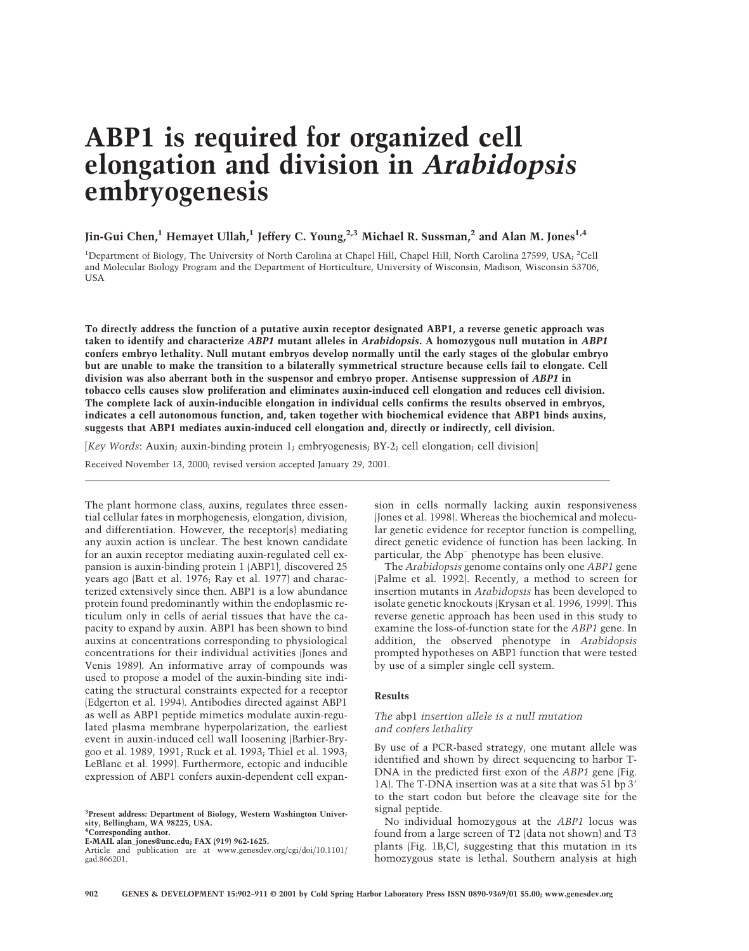# **ABP1 is required for organized cell elongation and division in** *Arabidopsis* **embryogenesis**

## **Jin-Gui Chen,1 Hemayet Ullah,1 Jeffery C. Young,2,3 Michael R. Sussman,2 and Alan M. Jones1,4**

<sup>1</sup>Department of Biology, The University of North Carolina at Chapel Hill, Chapel Hill, North Carolina 27599, USA; <sup>2</sup>Cell and Molecular Biology Program and the Department of Horticulture, University of Wisconsin, Madison, Wisconsin 53706, USA

**To directly address the function of a putative auxin receptor designated ABP1, a reverse genetic approach was taken to identify and characterize** *ABP1* **mutant alleles in** *Arabidopsis***. A homozygous null mutation in** *ABP1* **confers embryo lethality. Null mutant embryos develop normally until the early stages of the globular embryo but are unable to make the transition to a bilaterally symmetrical structure because cells fail to elongate. Cell division was also aberrant both in the suspensor and embryo proper. Antisense suppression of** *ABP1* **in tobacco cells causes slow proliferation and eliminates auxin-induced cell elongation and reduces cell division. The complete lack of auxin-inducible elongation in individual cells confirms the results observed in embryos, indicates a cell autonomous function, and, taken together with biochemical evidence that ABP1 binds auxins, suggests that ABP1 mediates auxin-induced cell elongation and, directly or indirectly, cell division.**

[*Key Words*: Auxin; auxin-binding protein 1; embryogenesis; BY-2; cell elongation; cell division]

Received November 13, 2000; revised version accepted January 29, 2001.

The plant hormone class, auxins, regulates three essential cellular fates in morphogenesis, elongation, division, and differentiation. However, the receptor(s) mediating any auxin action is unclear. The best known candidate for an auxin receptor mediating auxin-regulated cell expansion is auxin-binding protein 1 (ABP1), discovered 25 years ago (Batt et al. 1976; Ray et al. 1977) and characterized extensively since then. ABP1 is a low abundance protein found predominantly within the endoplasmic reticulum only in cells of aerial tissues that have the capacity to expand by auxin. ABP1 has been shown to bind auxins at concentrations corresponding to physiological concentrations for their individual activities (Jones and Venis 1989). An informative array of compounds was used to propose a model of the auxin-binding site indicating the structural constraints expected for a receptor (Edgerton et al. 1994). Antibodies directed against ABP1 as well as ABP1 peptide mimetics modulate auxin-regulated plasma membrane hyperpolarization, the earliest event in auxin-induced cell wall loosening (Barbier-Brygoo et al. 1989, 1991; Ruck et al. 1993; Thiel et al. 1993; LeBlanc et al. 1999). Furthermore, ectopic and inducible expression of ABP1 confers auxin-dependent cell expan-

**3 Present address: Department of Biology, Western Washington University, Bellingham, WA 98225, USA. 4 Corresponding author.**

**E-MAIL alan\_jones@unc.edu; FAX (919) 962-1625.**

Article and publication are at www.genesdev.org/cgi/doi/10.1101/ gad.866201.

sion in cells normally lacking auxin responsiveness (Jones et al. 1998). Whereas the biochemical and molecular genetic evidence for receptor function is compelling, direct genetic evidence of function has been lacking. In particular, the Abp− phenotype has been elusive.

The *Arabidopsis* genome contains only one *ABP1* gene (Palme et al. 1992). Recently, a method to screen for insertion mutants in *Arabidopsis* has been developed to isolate genetic knockouts (Krysan et al. 1996, 1999). This reverse genetic approach has been used in this study to examine the loss-of-function state for the *ABP1* gene. In addition, the observed phenotype in *Arabidopsis* prompted hypotheses on ABP1 function that were tested by use of a simpler single cell system.

#### **Results**

## *The* abp1 *insertion allele is a null mutation and confers lethality*

By use of a PCR-based strategy, one mutant allele was identified and shown by direct sequencing to harbor T-DNA in the predicted first exon of the *ABP1* gene (Fig. 1A). The T-DNA insertion was at a site that was 51 bp 3 to the start codon but before the cleavage site for the signal peptide.

No individual homozygous at the *ABP1* locus was found from a large screen of T2 (data not shown) and T3 plants (Fig. 1B,C), suggesting that this mutation in its homozygous state is lethal. Southern analysis at high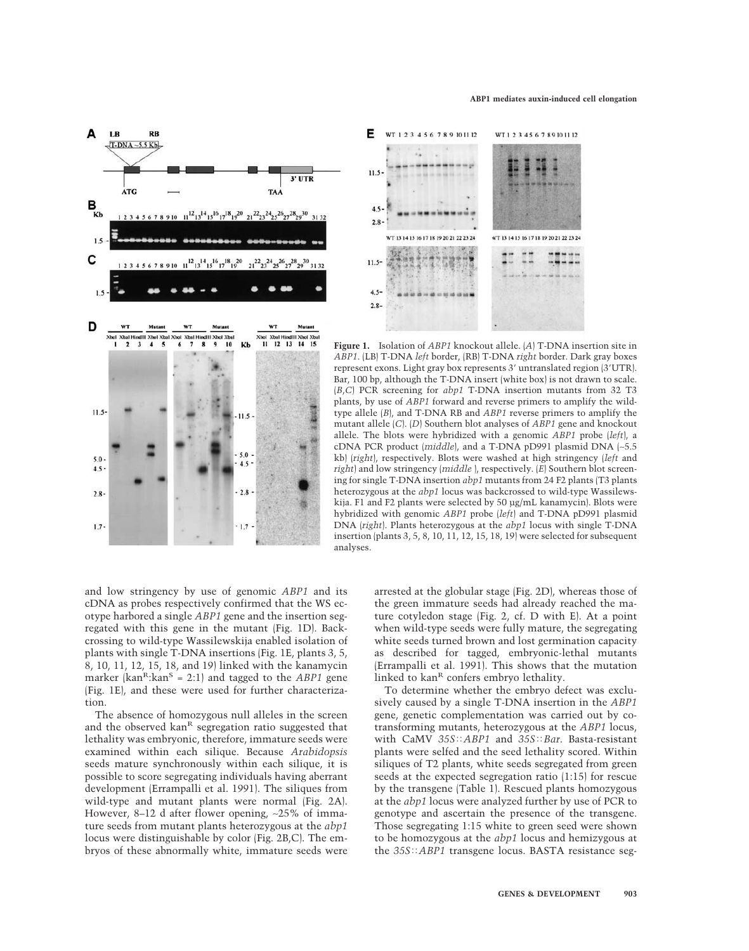



**Figure 1.** Isolation of *ABP1* knockout allele. (*A*) T-DNA insertion site in *ABP1*. (LB) T-DNA *left* border, (RB) T-DNA *right* border. Dark gray boxes represent exons. Light gray box represents 3' untranslated region (3'UTR). Bar, 100 bp, although the T-DNA insert (white box) is not drawn to scale. (*B*,*C*) PCR screening for *abp1* T-DNA insertion mutants from 32 T3 plants, by use of *ABP1* forward and reverse primers to amplify the wildtype allele (*B*), and T-DNA RB and *ABP1* reverse primers to amplify the mutant allele (*C*). (*D*) Southern blot analyses of *ABP1* gene and knockout allele. The blots were hybridized with a genomic *ABP1* probe (*left*), a cDNA PCR product (*middle*), and a T-DNA pD991 plasmid DNA (∼5.5 kb) (*right*), respectively. Blots were washed at high stringency (*left* and *right*) and low stringency (*middle* ), respectively. (*E*) Southern blot screening for single T-DNA insertion *abp1* mutants from 24 F2 plants (T3 plants heterozygous at the *abp1* locus was backcrossed to wild-type Wassilewskija. F1 and F2 plants were selected by 50 µg/mL kanamycin). Blots were hybridized with genomic *ABP1* probe (*left*) and T-DNA pD991 plasmid DNA (*right*). Plants heterozygous at the *abp1* locus with single T-DNA insertion (plants 3, 5, 8, 10, 11, 12, 15, 18, 19) were selected for subsequent analyses.

and low stringency by use of genomic *ABP1* and its cDNA as probes respectively confirmed that the WS ecotype harbored a single *ABP1* gene and the insertion segregated with this gene in the mutant (Fig. 1D). Backcrossing to wild-type Wassilewskija enabled isolation of plants with single T-DNA insertions (Fig. 1E, plants 3, 5, 8, 10, 11, 12, 15, 18, and 19) linked with the kanamycin marker ( $\text{kan}^R$ : $\text{kan}^S = 2:1$ ) and tagged to the *ABP1* gene (Fig. 1E), and these were used for further characterization.

The absence of homozygous null alleles in the screen and the observed kan<sup>R</sup> segregation ratio suggested that lethality was embryonic, therefore, immature seeds were examined within each silique. Because *Arabidopsis* seeds mature synchronously within each silique, it is possible to score segregating individuals having aberrant development (Errampalli et al. 1991). The siliques from wild-type and mutant plants were normal (Fig. 2A). However, 8–12 d after flower opening, ∼25% of immature seeds from mutant plants heterozygous at the *abp1* locus were distinguishable by color (Fig. 2B,C). The embryos of these abnormally white, immature seeds were arrested at the globular stage (Fig. 2D), whereas those of the green immature seeds had already reached the mature cotyledon stage (Fig. 2, cf. D with E). At a point when wild-type seeds were fully mature, the segregating white seeds turned brown and lost germination capacity as described for tagged, embryonic-lethal mutants (Errampalli et al. 1991). This shows that the mutation linked to  $kan<sup>R</sup>$  confers embryo lethality.

To determine whether the embryo defect was exclusively caused by a single T-DNA insertion in the *ABP1* gene, genetic complementation was carried out by cotransforming mutants, heterozygous at the *ABP1* locus, with CaMV  $35S$ *ABP1* and  $35S$ *<i>Bar*. Basta-resistant plants were selfed and the seed lethality scored. Within siliques of T2 plants, white seeds segregated from green seeds at the expected segregation ratio (1:15) for rescue by the transgene (Table 1). Rescued plants homozygous at the *abp1* locus were analyzed further by use of PCR to genotype and ascertain the presence of the transgene. Those segregating 1:15 white to green seed were shown to be homozygous at the *abp1* locus and hemizygous at the  $35S$ *ABP1* transgene locus. BASTA resistance seg-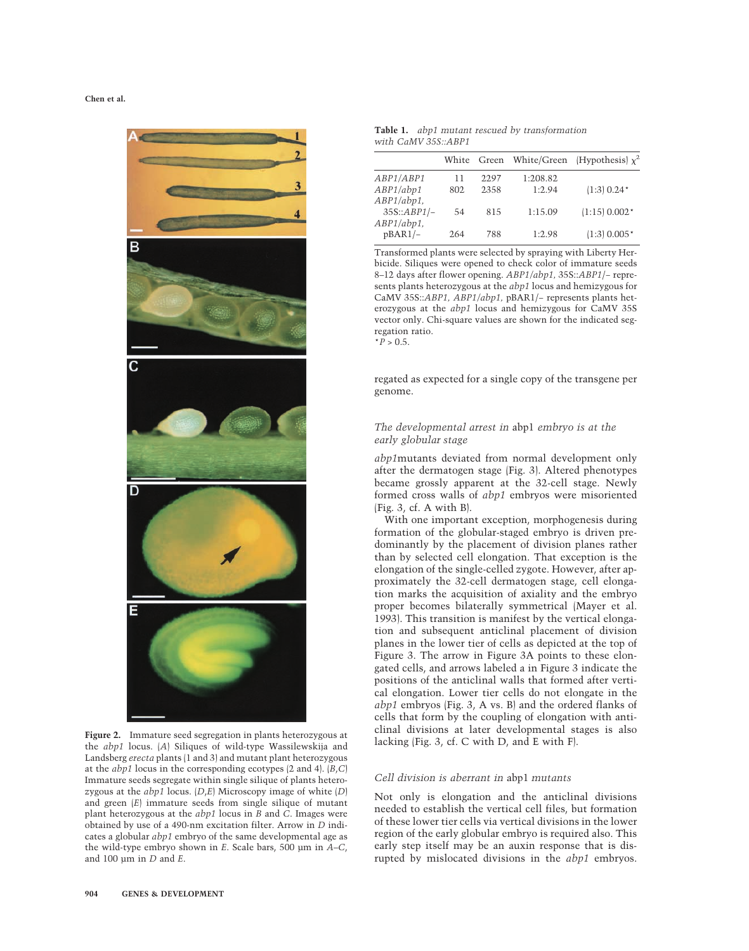

**Figure 2.** Immature seed segregation in plants heterozygous at the *abp1* locus. (*A*) Siliques of wild-type Wassilewskija and Landsberg *erecta* plants (1 and 3) and mutant plant heterozygous at the *abp1* locus in the corresponding ecotypes (2 and 4). (*B*,*C*) Immature seeds segregate within single silique of plants heterozygous at the *abp1* locus. (*D*,*E*) Microscopy image of white (*D*) and green (*E*) immature seeds from single silique of mutant plant heterozygous at the *abp1* locus in *B* and *C*. Images were obtained by use of a 490-nm excitation filter. Arrow in *D* indicates a globular *abp1* embryo of the same developmental age as the wild-type embryo shown in *E*. Scale bars, 500 µm in *A–C*, and 100 µm in *D* and *E*.

|                     | Table 1. abp1 mutant rescued by transformation |
|---------------------|------------------------------------------------|
| with CaMV 35S::ABP1 |                                                |

|                                |           | White Green  |                    | White/Green (Hypothesis) $\chi^2$ |
|--------------------------------|-----------|--------------|--------------------|-----------------------------------|
| ABP1/ABP1<br>ABP1/abp1         | 11<br>802 | 2297<br>2358 | 1:208.82<br>1:2.94 | $(1:3) 0.24*$                     |
| $ABP1/abp1$ ,<br>$35S::ABP1/-$ | 54        | 815          | 1:15.09            | $(1:15) 0.002*$                   |
| $ABP1/abp1$ ,<br>$pBAR1/-$     | 264       | 788          | 1:2.98             | $(1:3)$ 0.005*                    |

Transformed plants were selected by spraying with Liberty Herbicide. Siliques were opened to check color of immature seeds 8–12 days after flower opening. *ABP1/abp1,* 35S::*ABP1*/− represents plants heterozygous at the *abp1* locus and hemizygous for CaMV 35S::*ABP1, ABP1/abp1,* pBAR1/− represents plants heterozygous at the *abp1* locus and hemizygous for CaMV 35S vector only. Chi-square values are shown for the indicated segregation ratio.  $*P > 0.5$ .

regated as expected for a single copy of the transgene per genome.

## *The developmental arrest in* abp1 *embryo is at the early globular stage*

*abp1*mutants deviated from normal development only after the dermatogen stage (Fig. 3). Altered phenotypes became grossly apparent at the 32-cell stage. Newly formed cross walls of *abp1* embryos were misoriented (Fig. 3, cf. A with B).

With one important exception, morphogenesis during formation of the globular-staged embryo is driven predominantly by the placement of division planes rather than by selected cell elongation. That exception is the elongation of the single-celled zygote. However, after approximately the 32-cell dermatogen stage, cell elongation marks the acquisition of axiality and the embryo proper becomes bilaterally symmetrical (Mayer et al. 1993). This transition is manifest by the vertical elongation and subsequent anticlinal placement of division planes in the lower tier of cells as depicted at the top of Figure 3. The arrow in Figure 3A points to these elongated cells, and arrows labeled a in Figure 3 indicate the positions of the anticlinal walls that formed after vertical elongation. Lower tier cells do not elongate in the *abp1* embryos (Fig. 3, A vs. B) and the ordered flanks of cells that form by the coupling of elongation with anticlinal divisions at later developmental stages is also lacking (Fig. 3, cf. C with D, and E with F).

#### *Cell division is aberrant in* abp1 *mutants*

Not only is elongation and the anticlinal divisions needed to establish the vertical cell files, but formation of these lower tier cells via vertical divisions in the lower region of the early globular embryo is required also. This early step itself may be an auxin response that is disrupted by mislocated divisions in the *abp1* embryos.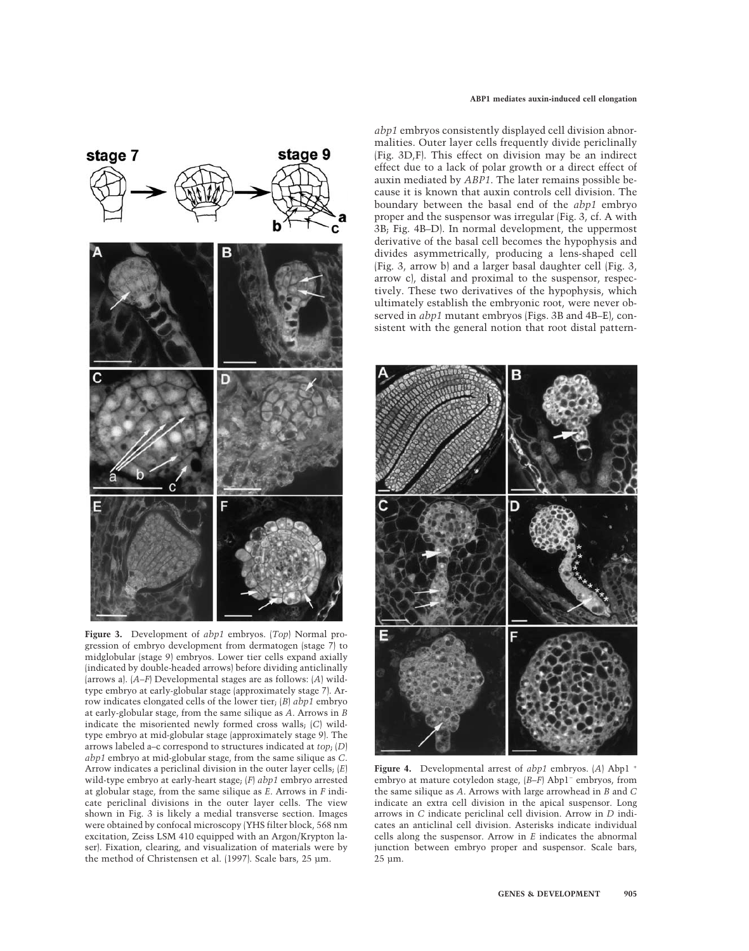

**Figure 3.** Development of *abp1* embryos. (*Top*) Normal progression of embryo development from dermatogen (stage 7) to midglobular (stage 9) embryos. Lower tier cells expand axially (indicated by double-headed arrows) before dividing anticlinally (arrows a). (*A–F*) Developmental stages are as follows: (*A*) wildtype embryo at early-globular stage (approximately stage 7). Arrow indicates elongated cells of the lower tier;(*B*) *abp1* embryo at early-globular stage, from the same silique as *A*. Arrows in *B* indicate the misoriented newly formed cross walls;(*C*) wildtype embryo at mid-globular stage (approximately stage 9). The arrows labeled a–c correspond to structures indicated at *top*; (*D*) *abp1* embryo at mid-globular stage, from the same silique as *C*. Arrow indicates a periclinal division in the outer layer cells;(*E*) wild-type embryo at early-heart stage;(*F*) *abp1* embryo arrested at globular stage, from the same silique as *E*. Arrows in *F* indicate periclinal divisions in the outer layer cells. The view shown in Fig. 3 is likely a medial transverse section. Images were obtained by confocal microscopy (YHS filter block, 568 nm excitation, Zeiss LSM 410 equipped with an Argon/Krypton laser). Fixation, clearing, and visualization of materials were by the method of Christensen et al. (1997). Scale bars, 25 µm.

*abp1* embryos consistently displayed cell division abnormalities. Outer layer cells frequently divide periclinally (Fig. 3D,F). This effect on division may be an indirect effect due to a lack of polar growth or a direct effect of auxin mediated by *ABP1*. The later remains possible because it is known that auxin controls cell division. The boundary between the basal end of the *abp1* embryo proper and the suspensor was irregular (Fig. 3, cf. A with 3B;Fig. 4B–D). In normal development, the uppermost derivative of the basal cell becomes the hypophysis and divides asymmetrically, producing a lens-shaped cell (Fig. 3, arrow b) and a larger basal daughter cell (Fig. 3, arrow c), distal and proximal to the suspensor, respectively. These two derivatives of the hypophysis, which ultimately establish the embryonic root, were never observed in *abp1* mutant embryos (Figs. 3B and 4B–E), consistent with the general notion that root distal pattern-



**Figure 4.** Developmental arrest of *abp1* embryos. (*A*) Abp1 <sup>+</sup> embryo at mature cotyledon stage, (*B–F*) Abp1− embryos, from the same silique as *A*. Arrows with large arrowhead in *B* and *C* indicate an extra cell division in the apical suspensor. Long arrows in *C* indicate periclinal cell division. Arrow in *D* indicates an anticlinal cell division. Asterisks indicate individual cells along the suspensor. Arrow in *E* indicates the abnormal junction between embryo proper and suspensor. Scale bars, 25 µm.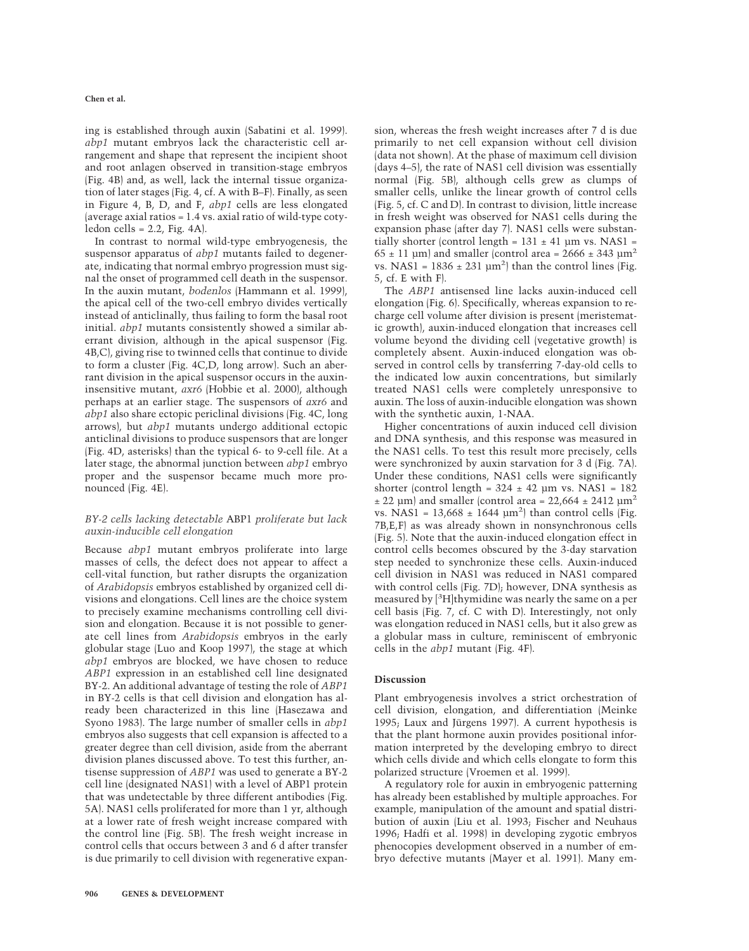ing is established through auxin (Sabatini et al. 1999). *abp1* mutant embryos lack the characteristic cell arrangement and shape that represent the incipient shoot and root anlagen observed in transition-stage embryos (Fig. 4B) and, as well, lack the internal tissue organization of later stages (Fig. 4, cf. A with B–F). Finally, as seen in Figure 4, B, D, and F, *abp1* cells are less elongated (average axial ratios  $= 1.4$  vs. axial ratio of wild-type cotyledon cells  $= 2.2$ , Fig. 4A).

In contrast to normal wild-type embryogenesis, the suspensor apparatus of *abp1* mutants failed to degenerate, indicating that normal embryo progression must signal the onset of programmed cell death in the suspensor. In the auxin mutant, *bodenlos* (Hammann et al. 1999), the apical cell of the two-cell embryo divides vertically instead of anticlinally, thus failing to form the basal root initial. *abp1* mutants consistently showed a similar aberrant division, although in the apical suspensor (Fig. 4B,C), giving rise to twinned cells that continue to divide to form a cluster (Fig. 4C,D, long arrow). Such an aberrant division in the apical suspensor occurs in the auxininsensitive mutant, *axr6* (Hobbie et al. 2000), although perhaps at an earlier stage. The suspensors of *axr6* and *abp1* also share ectopic periclinal divisions (Fig. 4C, long arrows), but *abp1* mutants undergo additional ectopic anticlinal divisions to produce suspensors that are longer (Fig. 4D, asterisks) than the typical 6- to 9-cell file. At a later stage, the abnormal junction between *abp1* embryo proper and the suspensor became much more pronounced (Fig. 4E).

## *BY-2 cells lacking detectable* ABP1 *proliferate but lack auxin-inducible cell elongation*

Because *abp1* mutant embryos proliferate into large masses of cells, the defect does not appear to affect a cell-vital function, but rather disrupts the organization of *Arabidopsis* embryos established by organized cell divisions and elongations. Cell lines are the choice system to precisely examine mechanisms controlling cell division and elongation. Because it is not possible to generate cell lines from *Arabidopsis* embryos in the early globular stage (Luo and Koop 1997), the stage at which *abp1* embryos are blocked, we have chosen to reduce *ABP1* expression in an established cell line designated BY-2. An additional advantage of testing the role of *ABP1* in BY-2 cells is that cell division and elongation has already been characterized in this line (Hasezawa and Syono 1983). The large number of smaller cells in *abp1* embryos also suggests that cell expansion is affected to a greater degree than cell division, aside from the aberrant division planes discussed above. To test this further, antisense suppression of *ABP1* was used to generate a BY-2 cell line (designated NAS1) with a level of ABP1 protein that was undetectable by three different antibodies (Fig. 5A). NAS1 cells proliferated for more than 1 yr, although at a lower rate of fresh weight increase compared with the control line (Fig. 5B). The fresh weight increase in control cells that occurs between 3 and 6 d after transfer is due primarily to cell division with regenerative expansion, whereas the fresh weight increases after 7 d is due primarily to net cell expansion without cell division (data not shown). At the phase of maximum cell division (days 4–5), the rate of NAS1 cell division was essentially normal (Fig. 5B), although cells grew as clumps of smaller cells, unlike the linear growth of control cells (Fig. 5, cf. C and D). In contrast to division, little increase in fresh weight was observed for NAS1 cells during the expansion phase (after day 7). NAS1 cells were substantially shorter (control length =  $131 \pm 41$  µm vs. NAS1 =  $65 \pm 11$  µm) and smaller (control area = 2666  $\pm$  343 µm<sup>2</sup> vs. NAS1 =  $1836 \pm 231 \text{ µm}^2$ ) than the control lines (Fig. 5, cf. E with F).

The *ABP1* antisensed line lacks auxin-induced cell elongation (Fig. 6). Specifically, whereas expansion to recharge cell volume after division is present (meristematic growth), auxin-induced elongation that increases cell volume beyond the dividing cell (vegetative growth) is completely absent. Auxin-induced elongation was observed in control cells by transferring 7-day-old cells to the indicated low auxin concentrations, but similarly treated NAS1 cells were completely unresponsive to auxin. The loss of auxin-inducible elongation was shown with the synthetic auxin, 1-NAA.

Higher concentrations of auxin induced cell division and DNA synthesis, and this response was measured in the NAS1 cells. To test this result more precisely, cells were synchronized by auxin starvation for 3 d (Fig. 7A). Under these conditions, NAS1 cells were significantly shorter (control length =  $324 \pm 42$  µm vs. NAS1 = 182  $\pm$  22 µm) and smaller (control area = 22,664  $\pm$  2412 µm<sup>2</sup> vs. NAS1 =  $13,668 \pm 1644 \text{ }\mu\text{m}^2$ ) than control cells (Fig. 7B,E,F) as was already shown in nonsynchronous cells (Fig. 5). Note that the auxin-induced elongation effect in control cells becomes obscured by the 3-day starvation step needed to synchronize these cells. Auxin-induced cell division in NAS1 was reduced in NAS1 compared with control cells (Fig. 7D); however, DNA synthesis as measured by [<sup>3</sup>H]thymidine was nearly the same on a per cell basis (Fig. 7, cf. C with D). Interestingly, not only was elongation reduced in NAS1 cells, but it also grew as a globular mass in culture, reminiscent of embryonic cells in the *abp1* mutant (Fig. 4F).

## **Discussion**

Plant embryogenesis involves a strict orchestration of cell division, elongation, and differentiation (Meinke 1995;Laux and Jürgens 1997). A current hypothesis is that the plant hormone auxin provides positional information interpreted by the developing embryo to direct which cells divide and which cells elongate to form this polarized structure (Vroemen et al. 1999).

A regulatory role for auxin in embryogenic patterning has already been established by multiple approaches. For example, manipulation of the amount and spatial distribution of auxin (Liu et al. 1993; Fischer and Neuhaus 1996; Hadfi et al. 1998) in developing zygotic embryos phenocopies development observed in a number of embryo defective mutants (Mayer et al. 1991). Many em-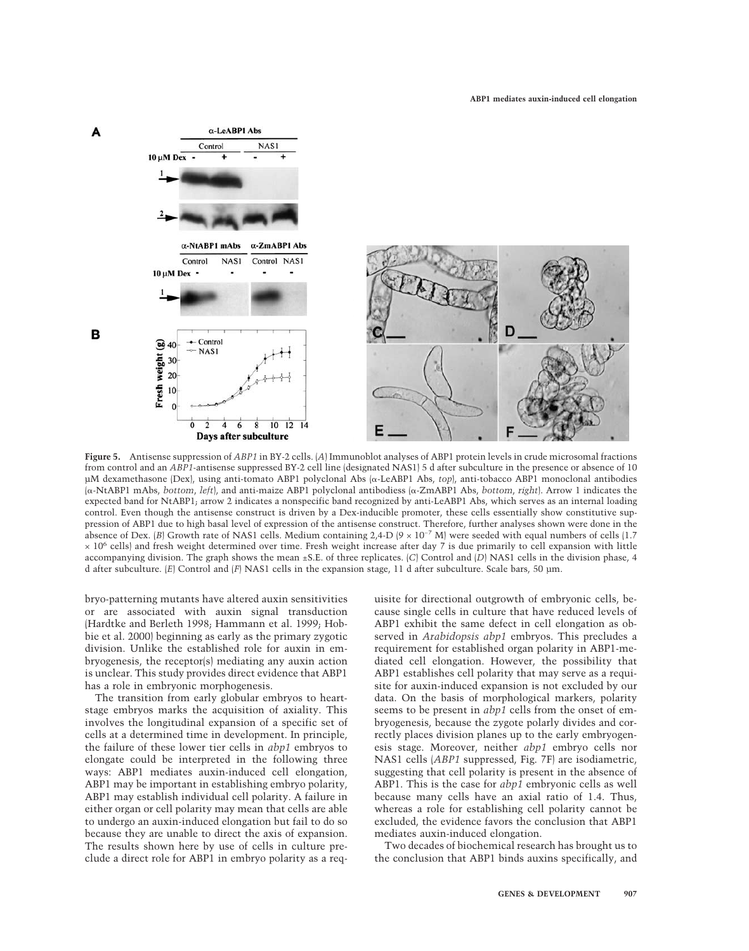

**Figure 5.** Antisense suppression of *ABP1* in BY-2 cells. (*A*) Immunoblot analyses of ABP1 protein levels in crude microsomal fractions from control and an *ABP1*-antisense suppressed BY-2 cell line (designated NAS1) 5 d after subculture in the presence or absence of 10 µM dexamethasone (Dex), using anti-tomato ABP1 polyclonal Abs (α-LeABP1 Abs, *top*), anti-tobacco ABP1 monoclonal antibodies (α-NtABP1 mAbs, *bottom*, *left*), and anti-maize ABP1 polyclonal antibodiess (α-ZmABP1 Abs, *bottom*, *right*). Arrow 1 indicates the expected band for NtABP1; arrow 2 indicates a nonspecific band recognized by anti-LeABP1 Abs, which serves as an internal loading control. Even though the antisense construct is driven by a Dex-inducible promoter, these cells essentially show constitutive suppression of ABP1 due to high basal level of expression of the antisense construct. Therefore, further analyses shown were done in the absence of Dex. (*B*) Growth rate of NAS1 cells. Medium containing 2,4-D ( $9 \times 10^{-7}$  M) were seeded with equal numbers of cells (1.7  $\times$  10<sup>6</sup> cells) and fresh weight determined over time. Fresh weight increase after day 7 is due primarily to cell expansion with little accompanying division. The graph shows the mean ±S.E. of three replicates. (*C*) Control and (*D*) NAS1 cells in the division phase, 4 d after subculture. (*E*) Control and (*F*) NAS1 cells in the expansion stage, 11 d after subculture. Scale bars, 50 µm.

bryo-patterning mutants have altered auxin sensitivities or are associated with auxin signal transduction (Hardtke and Berleth 1998; Hammann et al. 1999; Hobbie et al. 2000) beginning as early as the primary zygotic division. Unlike the established role for auxin in embryogenesis, the receptor(s) mediating any auxin action is unclear. This study provides direct evidence that ABP1 has a role in embryonic morphogenesis.

The transition from early globular embryos to heartstage embryos marks the acquisition of axiality. This involves the longitudinal expansion of a specific set of cells at a determined time in development. In principle, the failure of these lower tier cells in *abp1* embryos to elongate could be interpreted in the following three ways: ABP1 mediates auxin-induced cell elongation, ABP1 may be important in establishing embryo polarity, ABP1 may establish individual cell polarity. A failure in either organ or cell polarity may mean that cells are able to undergo an auxin-induced elongation but fail to do so because they are unable to direct the axis of expansion. The results shown here by use of cells in culture preclude a direct role for ABP1 in embryo polarity as a requisite for directional outgrowth of embryonic cells, because single cells in culture that have reduced levels of ABP1 exhibit the same defect in cell elongation as observed in *Arabidopsis abp1* embryos. This precludes a requirement for established organ polarity in ABP1-mediated cell elongation. However, the possibility that ABP1 establishes cell polarity that may serve as a requisite for auxin-induced expansion is not excluded by our data. On the basis of morphological markers, polarity seems to be present in *abp1* cells from the onset of embryogenesis, because the zygote polarly divides and correctly places division planes up to the early embryogenesis stage. Moreover, neither *abp1* embryo cells nor NAS1 cells (*ABP1* suppressed, Fig. 7F) are isodiametric, suggesting that cell polarity is present in the absence of ABP1. This is the case for *abp1* embryonic cells as well because many cells have an axial ratio of 1.4. Thus, whereas a role for establishing cell polarity cannot be excluded, the evidence favors the conclusion that ABP1 mediates auxin-induced elongation.

Two decades of biochemical research has brought us to the conclusion that ABP1 binds auxins specifically, and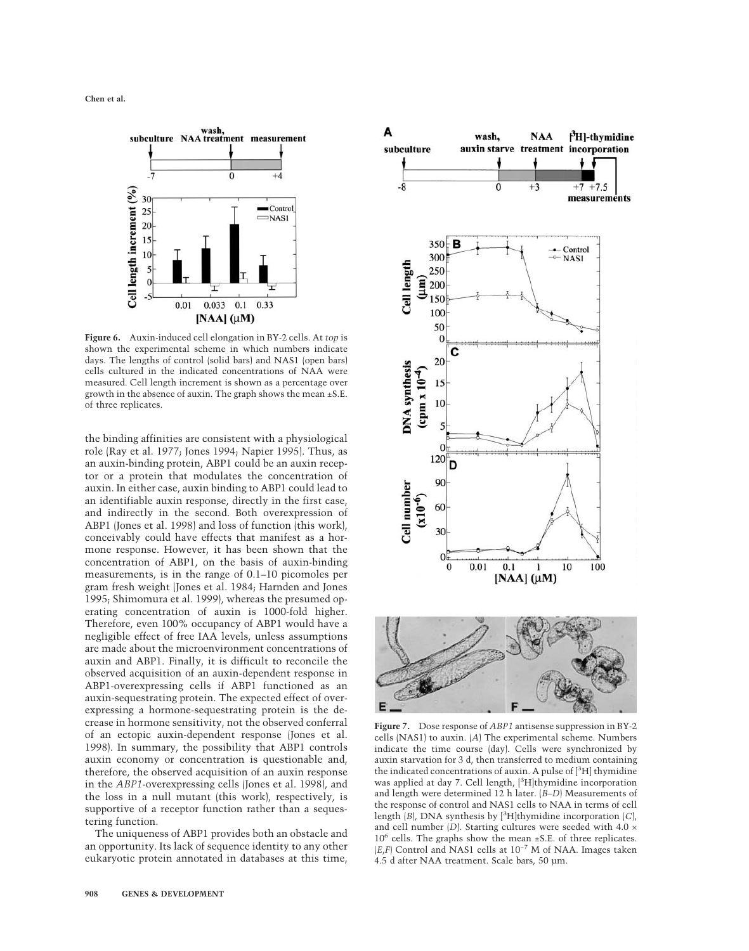

**Figure 6.** Auxin-induced cell elongation in BY-2 cells. At *top* is shown the experimental scheme in which numbers indicate days. The lengths of control (solid bars) and NAS1 (open bars) cells cultured in the indicated concentrations of NAA were measured. Cell length increment is shown as a percentage over growth in the absence of auxin. The graph shows the mean ±S.E. of three replicates.

the binding affinities are consistent with a physiological role (Ray et al. 1977; Jones 1994; Napier 1995). Thus, as an auxin-binding protein, ABP1 could be an auxin receptor or a protein that modulates the concentration of auxin. In either case, auxin binding to ABP1 could lead to an identifiable auxin response, directly in the first case, and indirectly in the second. Both overexpression of ABP1 (Jones et al. 1998) and loss of function (this work), conceivably could have effects that manifest as a hormone response. However, it has been shown that the concentration of ABP1, on the basis of auxin-binding measurements, is in the range of 0.1–10 picomoles per gram fresh weight (Jones et al. 1984; Harnden and Jones 1995; Shimomura et al. 1999), whereas the presumed operating concentration of auxin is 1000-fold higher. Therefore, even 100% occupancy of ABP1 would have a negligible effect of free IAA levels, unless assumptions are made about the microenvironment concentrations of auxin and ABP1. Finally, it is difficult to reconcile the observed acquisition of an auxin-dependent response in ABP1-overexpressing cells if ABP1 functioned as an auxin-sequestrating protein. The expected effect of overexpressing a hormone-sequestrating protein is the decrease in hormone sensitivity, not the observed conferral of an ectopic auxin-dependent response (Jones et al. 1998). In summary, the possibility that ABP1 controls auxin economy or concentration is questionable and, therefore, the observed acquisition of an auxin response in the *ABP1*-overexpressing cells (Jones et al. 1998), and the loss in a null mutant (this work), respectively, is supportive of a receptor function rather than a sequestering function.

The uniqueness of ABP1 provides both an obstacle and an opportunity. Its lack of sequence identity to any other eukaryotic protein annotated in databases at this time,



**Figure 7.** Dose response of *ABP1* antisense suppression in BY-2 cells (NAS1) to auxin. (*A*) The experimental scheme. Numbers indicate the time course (day). Cells were synchronized by auxin starvation for 3 d, then transferred to medium containing the indicated concentrations of auxin. A pulse of [<sup>3</sup>H] thymidine was applied at day 7. Cell length, [3H]thymidine incorporation and length were determined 12 h later. (*B–D*) Measurements of the response of control and NAS1 cells to NAA in terms of cell length (*B*), DNA synthesis by [3 H]thymidine incorporation (*C*), and cell number  $(D)$ . Starting cultures were seeded with 4.0  $\times$ 10<sup>6</sup> cells. The graphs show the mean ±S.E. of three replicates. (*E*,*F*) Control and NAS1 cells at 10−7 M of NAA. Images taken 4.5 d after NAA treatment. Scale bars, 50 µm.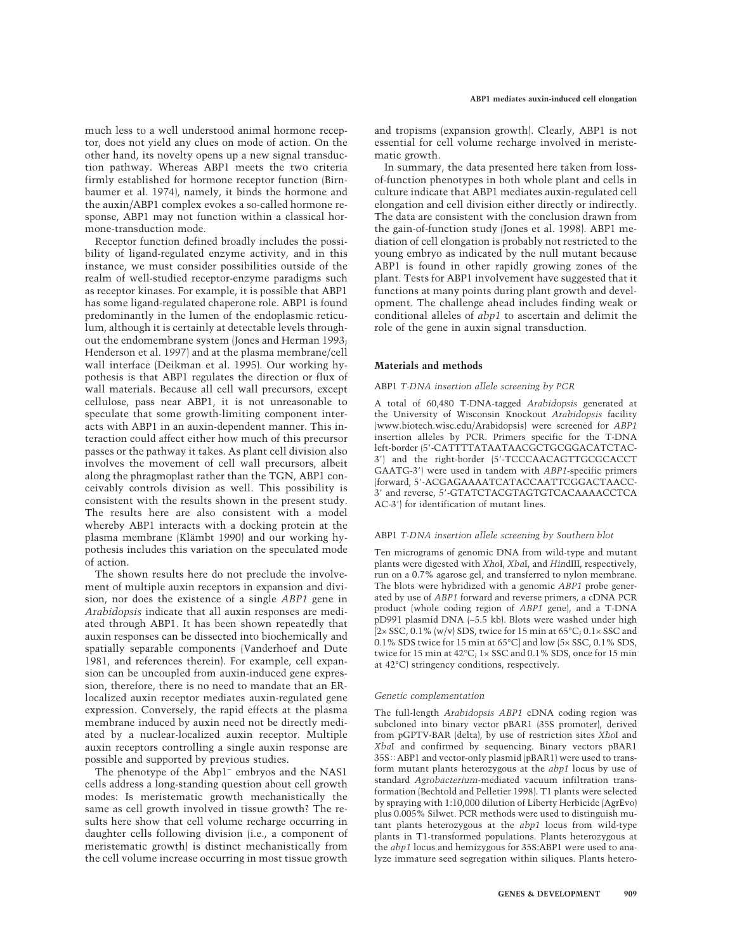much less to a well understood animal hormone receptor, does not yield any clues on mode of action. On the other hand, its novelty opens up a new signal transduction pathway. Whereas ABP1 meets the two criteria firmly established for hormone receptor function (Birnbaumer et al. 1974), namely, it binds the hormone and the auxin/ABP1 complex evokes a so-called hormone response, ABP1 may not function within a classical hormone-transduction mode.

Receptor function defined broadly includes the possibility of ligand-regulated enzyme activity, and in this instance, we must consider possibilities outside of the realm of well-studied receptor-enzyme paradigms such as receptor kinases. For example, it is possible that ABP1 has some ligand-regulated chaperone role. ABP1 is found predominantly in the lumen of the endoplasmic reticulum, although it is certainly at detectable levels throughout the endomembrane system (Jones and Herman 1993; Henderson et al. 1997) and at the plasma membrane/cell wall interface (Deikman et al. 1995). Our working hypothesis is that ABP1 regulates the direction or flux of wall materials. Because all cell wall precursors, except cellulose, pass near ABP1, it is not unreasonable to speculate that some growth-limiting component interacts with ABP1 in an auxin-dependent manner. This interaction could affect either how much of this precursor passes or the pathway it takes. As plant cell division also involves the movement of cell wall precursors, albeit along the phragmoplast rather than the TGN, ABP1 conceivably controls division as well. This possibility is consistent with the results shown in the present study. The results here are also consistent with a model whereby ABP1 interacts with a docking protein at the plasma membrane (Klämbt 1990) and our working hypothesis includes this variation on the speculated mode of action.

The shown results here do not preclude the involvement of multiple auxin receptors in expansion and division, nor does the existence of a single *ABP1* gene in *Arabidopsis* indicate that all auxin responses are mediated through ABP1. It has been shown repeatedly that auxin responses can be dissected into biochemically and spatially separable components (Vanderhoef and Dute 1981, and references therein). For example, cell expansion can be uncoupled from auxin-induced gene expression, therefore, there is no need to mandate that an ERlocalized auxin receptor mediates auxin-regulated gene expression. Conversely, the rapid effects at the plasma membrane induced by auxin need not be directly mediated by a nuclear-localized auxin receptor. Multiple auxin receptors controlling a single auxin response are possible and supported by previous studies.

The phenotype of the Abp1− embryos and the NAS1 cells address a long-standing question about cell growth modes: Is meristematic growth mechanistically the same as cell growth involved in tissue growth? The results here show that cell volume recharge occurring in daughter cells following division (i.e., a component of meristematic growth) is distinct mechanistically from the cell volume increase occurring in most tissue growth and tropisms (expansion growth). Clearly, ABP1 is not essential for cell volume recharge involved in meristematic growth.

In summary, the data presented here taken from lossof-function phenotypes in both whole plant and cells in culture indicate that ABP1 mediates auxin-regulated cell elongation and cell division either directly or indirectly. The data are consistent with the conclusion drawn from the gain-of-function study (Jones et al. 1998). ABP1 mediation of cell elongation is probably not restricted to the young embryo as indicated by the null mutant because ABP1 is found in other rapidly growing zones of the plant. Tests for ABP1 involvement have suggested that it functions at many points during plant growth and development. The challenge ahead includes finding weak or conditional alleles of *abp1* to ascertain and delimit the role of the gene in auxin signal transduction.

#### **Materials and methods**

#### ABP1 *T-DNA insertion allele screening by PCR*

A total of 60,480 T-DNA-tagged *Arabidopsis* generated at the University of Wisconsin Knockout *Arabidopsis* facility (www.biotech.wisc.edu/Arabidopsis) were screened for *ABP1* insertion alleles by PCR. Primers specific for the T-DNA left-border (5-CATTTTATAATAACGCTGCGGACATCTAC-3) and the right-border (5-TCCCAACAGTTGCGCACCT GAATG-3) were used in tandem with *ABP1*-specific primers (forward, 5-ACGAGAAAATCATACCAATTCGGACTAACC-3 and reverse, 5-GTATCTACGTAGTGTCACAAAACCTCA AC-3') for identification of mutant lines.

#### ABP1 *T-DNA insertion allele screening by Southern blot*

Ten micrograms of genomic DNA from wild-type and mutant plants were digested with *Xho*I, *Xba*I, and *Hin*dIII, respectively, run on a 0.7% agarose gel, and transferred to nylon membrane. The blots were hybridized with a genomic *ABP1* probe generated by use of *ABP1* forward and reverse primers, a cDNA PCR product (whole coding region of *ABP1* gene), and a T-DNA pD991 plasmid DNA (∼5.5 kb). Blots were washed under high  $[2 \times SSC, 0.1\% \text{ (w/v)} SDS, twice for 15 min at 65°C; 0.1 \times SSC and$ 0.1% SDS twice for 15 min at 65°C] and low (5× SSC, 0.1% SDS, twice for 15 min at 42°C; 1× SSC and 0.1% SDS, once for 15 min at 42°C) stringency conditions, respectively.

#### *Genetic complementation*

The full-length *Arabidopsis ABP1* cDNA coding region was subcloned into binary vector pBAR1 (35S promoter), derived from pGPTV-BAR (delta), by use of restriction sites *Xho*I and *Xba*I and confirmed by sequencing. Binary vectors pBAR1 35S: ABP1 and vector-only plasmid (pBAR1) were used to transform mutant plants heterozygous at the *abp1* locus by use of standard *Agrobacterium*-mediated vacuum infiltration transformation (Bechtold and Pelletier 1998). T1 plants were selected by spraying with 1:10,000 dilution of Liberty Herbicide (AgrEvo) plus 0.005% Silwet. PCR methods were used to distinguish mutant plants heterozygous at the *abp1* locus from wild-type plants in T1-transformed populations. Plants heterozygous at the *abp1* locus and hemizygous for 35S:ABP1 were used to analyze immature seed segregation within siliques. Plants hetero-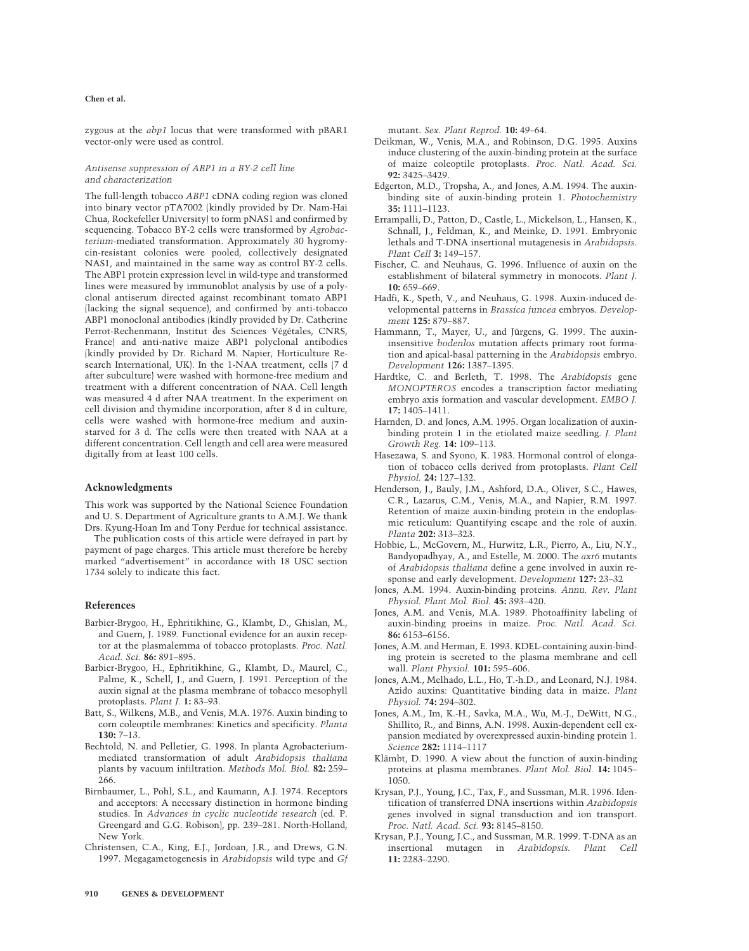#### **Chen et al.**

zygous at the *abp1* locus that were transformed with pBAR1 vector-only were used as control.

#### *Antisense suppression of ABP1 in a BY-2 cell line and characterization*

The full-length tobacco *ABP1* cDNA coding region was cloned into binary vector pTA7002 (kindly provided by Dr. Nam-Hai Chua, Rockefeller University) to form pNAS1 and confirmed by sequencing. Tobacco BY-2 cells were transformed by *Agrobacterium*-mediated transformation. Approximately 30 hygromycin-resistant colonies were pooled, collectively designated NAS1, and maintained in the same way as control BY-2 cells. The ABP1 protein expression level in wild-type and transformed lines were measured by immunoblot analysis by use of a polyclonal antiserum directed against recombinant tomato ABP1 (lacking the signal sequence), and confirmed by anti-tobacco ABP1 monoclonal antibodies (kindly provided by Dr. Catherine Perrot-Rechenmann, Institut des Sciences Végétales, CNRS, France) and anti-native maize ABP1 polyclonal antibodies (kindly provided by Dr. Richard M. Napier, Horticulture Research International, UK). In the 1-NAA treatment, cells (7 d after subculture) were washed with hormone-free medium and treatment with a different concentration of NAA. Cell length was measured 4 d after NAA treatment. In the experiment on cell division and thymidine incorporation, after 8 d in culture, cells were washed with hormone-free medium and auxinstarved for 3 d. The cells were then treated with NAA at a different concentration. Cell length and cell area were measured digitally from at least 100 cells.

#### **Acknowledgments**

This work was supported by the National Science Foundation and U. S. Department of Agriculture grants to A.M.J. We thank Drs. Kyung-Hoan Im and Tony Perdue for technical assistance.

The publication costs of this article were defrayed in part by payment of page charges. This article must therefore be hereby marked "advertisement" in accordance with 18 USC section 1734 solely to indicate this fact.

#### **References**

- Barbier-Brygoo, H., Ephritikhine, G., Klambt, D., Ghislan, M., and Guern, J. 1989. Functional evidence for an auxin receptor at the plasmalemma of tobacco protoplasts. *Proc. Natl. Acad. Sci.* **86:** 891–895.
- Barbier-Brygoo, H., Ephritikhine, G., Klambt, D., Maurel, C., Palme, K., Schell, J., and Guern, J. 1991. Perception of the auxin signal at the plasma membrane of tobacco mesophyll protoplasts. *Plant J.* **1:** 83–93.
- Batt, S., Wilkens, M.B., and Venis, M.A. 1976. Auxin binding to corn coleoptile membranes: Kinetics and specificity. *Planta* **130:** 7–13.
- Bechtold, N. and Pelletier, G. 1998. In planta Agrobacteriummediated transformation of adult *Arabidopsis thaliana* plants by vacuum infiltration. *Methods Mol. Biol.* **82:** 259– 266.
- Birnbaumer, L., Pohl, S.L., and Kaumann, A.J. 1974. Receptors and acceptors: A necessary distinction in hormone binding studies. In *Advances in cyclic nucleotide research* (ed. P. Greengard and G.G. Robison), pp. 239–281. North-Holland, New York.
- Christensen, C.A., King, E.J., Jordoan, J.R., and Drews, G.N. 1997. Megagametogenesis in *Arabidopsis* wild type and *Gf*

mutant. *Sex. Plant Reprod.* **10:** 49–64.

- Deikman, W., Venis, M.A., and Robinson, D.G. 1995. Auxins induce clustering of the auxin-binding protein at the surface of maize coleoptile protoplasts. *Proc. Natl. Acad. Sci.* **92:** 3425–3429.
- Edgerton, M.D., Tropsha, A., and Jones, A.M. 1994. The auxinbinding site of auxin-binding protein 1. *Photochemistry* **35:** 1111–1123.
- Errampalli, D., Patton, D., Castle, L., Mickelson, L., Hansen, K., Schnall, J., Feldman, K., and Meinke, D. 1991. Embryonic lethals and T-DNA insertional mutagenesis in *Arabidopsis*. *Plant Cell* **3:** 149–157.
- Fischer, C. and Neuhaus, G. 1996. Influence of auxin on the establishment of bilateral symmetry in monocots. *Plant J.* **10:** 659–669.
- Hadfi, K., Speth, V., and Neuhaus, G. 1998. Auxin-induced developmental patterns in *Brassica juncea* embryos. *Development* **125:** 879–887.
- Hammann, T., Mayer, U., and Jürgens, G. 1999. The auxininsensitive *bodenlos* mutation affects primary root formation and apical-basal patterning in the *Arabidopsis* embryo. *Development* **126:** 1387–1395.
- Hardtke, C. and Berleth, T. 1998. The *Arabidopsis* gene *MONOPTEROS* encodes a transcription factor mediating embryo axis formation and vascular development. *EMBO J.* **17:** 1405–1411.
- Harnden, D. and Jones, A.M. 1995. Organ localization of auxinbinding protein 1 in the etiolated maize seedling. *J. Plant Growth Reg.* **14:** 109–113.
- Hasezawa, S. and Syono, K. 1983. Hormonal control of elongation of tobacco cells derived from protoplasts. *Plant Cell Physiol.* **24:** 127–132.
- Henderson, J., Bauly, J.M., Ashford, D.A., Oliver, S.C., Hawes, C.R., Lazarus, C.M., Venis, M.A., and Napier, R.M. 1997. Retention of maize auxin-binding protein in the endoplasmic reticulum: Quantifying escape and the role of auxin. *Planta* **202:** 313–323.
- Hobbie, L., McGovern, M., Hurwitz, L.R., Pierro, A., Liu, N.Y., Bandyopadhyay, A., and Estelle, M. 2000. The *axr6* mutants of *Arabidopsis thaliana* define a gene involved in auxin response and early development. *Development* **127:** 23–32
- Jones, A.M. 1994. Auxin-binding proteins. *Annu. Rev. Plant Physiol. Plant Mol. Biol.* **45:** 393–420.
- Jones, A.M. and Venis, M.A. 1989. Photoaffinity labeling of auxin-binding proeins in maize. *Proc. Natl. Acad. Sci.* **86:** 6153–6156.
- Jones, A.M. and Herman, E. 1993. KDEL-containing auxin-binding protein is secreted to the plasma membrane and cell wall. *Plant Physiol.* **101:** 595–606.
- Jones, A.M., Melhado, L.L., Ho, T.-h.D., and Leonard, N.J. 1984. Azido auxins: Quantitative binding data in maize. *Plant Physiol.* **74:** 294–302.
- Jones, A.M., Im, K.-H., Savka, M.A., Wu, M.-J., DeWitt, N.G., Shillito, R., and Binns, A.N. 1998. Auxin-dependent cell expansion mediated by overexpressed auxin-binding protein 1. *Science* **282:** 1114–1117
- Klämbt, D. 1990. A view about the function of auxin-binding proteins at plasma membranes. *Plant Mol. Biol.* **14:** 1045– 1050.
- Krysan, P.J., Young, J.C., Tax, F., and Sussman, M.R. 1996. Identification of transferred DNA insertions within *Arabidopsis* genes involved in signal transduction and ion transport. *Proc. Natl. Acad. Sci.* **93:** 8145–8150.
- Krysan, P.J., Young, J.C., and Sussman, M.R. 1999. T-DNA as an insertional mutagen in *Arabidopsis. Plant Cell* **11:** 2283–2290.